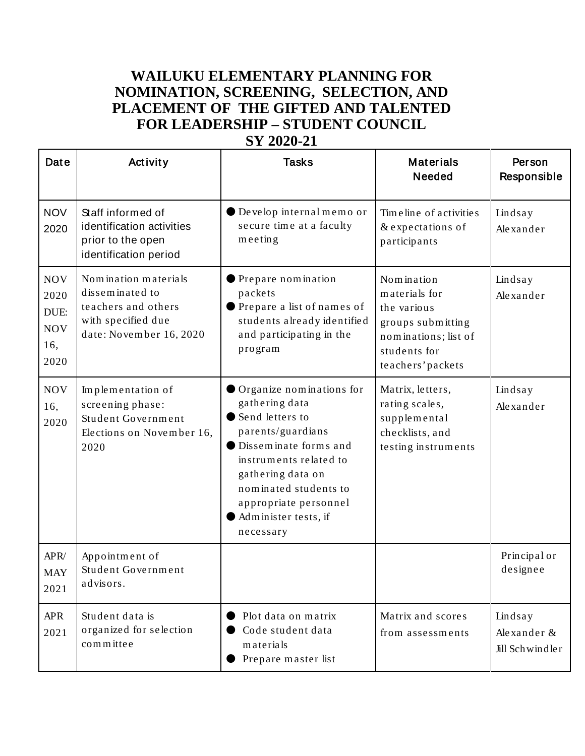## **WAILUKU ELEMENTARY PLANNING FOR NOMINATION, SCREENING, SELECTION, AND PLACEMENT OF THE GIFTED AND TALENTED FOR LEADERSHIP – STUDENT COUNCIL SY 2020-21**

| Date                                                    | Activity                                                                                                        | <b>Tasks</b>                                                                                                                                                                                                                                        | <b>Materials</b><br><b>Needed</b>                                                                                            | Person<br>Responsible                     |
|---------------------------------------------------------|-----------------------------------------------------------------------------------------------------------------|-----------------------------------------------------------------------------------------------------------------------------------------------------------------------------------------------------------------------------------------------------|------------------------------------------------------------------------------------------------------------------------------|-------------------------------------------|
| <b>NOV</b><br>2020                                      | Staff informed of<br>identification activities<br>prior to the open<br>identification period                    | Develop internal memo or<br>secure time at a faculty<br>meeting                                                                                                                                                                                     | Time line of activities<br>& expectations of<br>participants                                                                 | Lindsay<br>Alexander                      |
| <b>NOV</b><br>2020<br>DUE:<br><b>NOV</b><br>16,<br>2020 | Nomination materials<br>disseminated to<br>teachers and others<br>with specified due<br>date: November 16, 2020 | Prepare nomination<br>packets<br>● Prepare a list of names of<br>students already identified<br>and participating in the<br>program                                                                                                                 | Nomination<br>materials for<br>the various<br>groups submitting<br>nominations; list of<br>students for<br>teachers' packets | Lindsay<br>Alexander                      |
| <b>NOV</b><br>16,<br>2020                               | Implementation of<br>screening phase:<br>Student Government<br>Elections on November 16,<br>2020                | Organize nominations for<br>gathering data<br>Send letters to<br>parents/guardians<br>● Disseminate forms and<br>instruments related to<br>gathering data on<br>nominated students to<br>appropriate personnel<br>Administer tests, if<br>necessary | Matrix, letters,<br>rating scales,<br>supplemental<br>checklists, and<br>testing instruments                                 | Lindsay<br>Alexander                      |
| APR/<br><b>MAY</b><br>2021                              | Appointment of<br>Student Government<br>advisors.                                                               |                                                                                                                                                                                                                                                     |                                                                                                                              | Principal or<br>designee                  |
| <b>APR</b><br>2021                                      | Student data is<br>organized for selection<br>committee                                                         | Plot data on matrix<br>Code student data<br>materials<br>Prepare master list                                                                                                                                                                        | Matrix and scores<br>from assessments                                                                                        | Lindsay<br>Alexander &<br>Jill Schwindler |